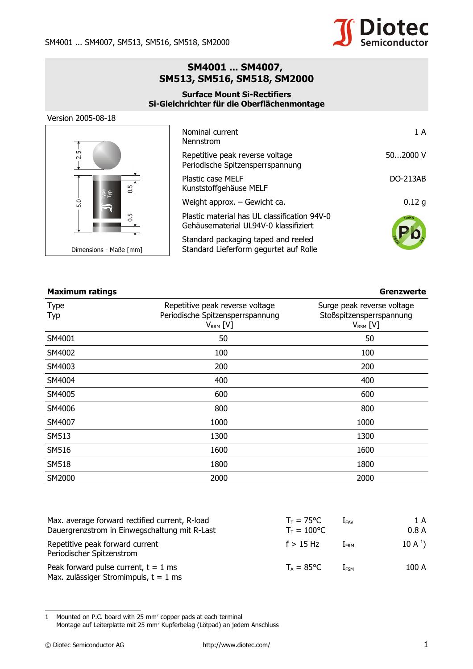

## **SM4001 ... SM4007, SM513, SM516, SM518, SM2000**

## **Surface Mount Si-Rectifiers Si-Gleichrichter für die Oberflächenmontage**

Version 2005-08-18



| Nominal current<br>Nennstrom                                                          | 1 A      |
|---------------------------------------------------------------------------------------|----------|
| Repetitive peak reverse voltage<br>Periodische Spitzensperrspannung                   | 502000V  |
| Plastic case MELF<br>Kunststoffgehäuse MELF                                           | DO-213AB |
| Weight approx. - Gewicht ca.                                                          | 0.12g    |
| Plastic material has UL classification 94V-0<br>Gehäusematerial UL94V-0 klassifiziert | RoHS     |
| Standard packaging taped and reeled<br>Standard Lieferform gegurtet auf Rolle         |          |

## **Maximum ratings Grenzwerte**

| Type<br>Typ  | Repetitive peak reverse voltage<br>Periodische Spitzensperrspannung<br>$V_{RRM}$ [V] | Surge peak reverse voltage<br>Stoßspitzensperrspannung<br>$V_{RSM}$ [V] |
|--------------|--------------------------------------------------------------------------------------|-------------------------------------------------------------------------|
| SM4001       | 50                                                                                   | 50                                                                      |
| SM4002       | 100                                                                                  | 100                                                                     |
| SM4003       | 200                                                                                  | 200                                                                     |
| SM4004       | 400                                                                                  | 400                                                                     |
| SM4005       | 600                                                                                  | 600                                                                     |
| SM4006       | 800                                                                                  | 800                                                                     |
| SM4007       | 1000                                                                                 | 1000                                                                    |
| SM513        | 1300                                                                                 | 1300                                                                    |
| SM516        | 1600                                                                                 | 1600                                                                    |
| <b>SM518</b> | 1800                                                                                 | 1800                                                                    |
| SM2000       | 2000                                                                                 | 2000                                                                    |

| Max. average forward rectified current, R-load<br>Dauergrenzstrom in Einwegschaltung mit R-Last | $T_{\text{T}}$ = 75°C<br>$T_T = 100^{\circ}C$ | $\rm I$ fav      | 1 A<br>0.8A        |
|-------------------------------------------------------------------------------------------------|-----------------------------------------------|------------------|--------------------|
| Repetitive peak forward current<br>Periodischer Spitzenstrom                                    | $f > 15$ Hz                                   | $I_{\text{FRM}}$ | $10 \text{ A}^1$ ) |
| Peak forward pulse current, $t = 1$ ms<br>Max. zulässiger Stromimpuls, $t = 1$ ms               | $T_{4}$ = 85°C                                | I <sub>FSM</sub> | 100 A              |

<span id="page-0-0"></span>1 Mounted on P.C. board with 25  $mm<sup>2</sup>$  copper pads at each terminal Montage auf Leiterplatte mit 25 mm<sup>2</sup> Kupferbelag (Lötpad) an jedem Anschluss